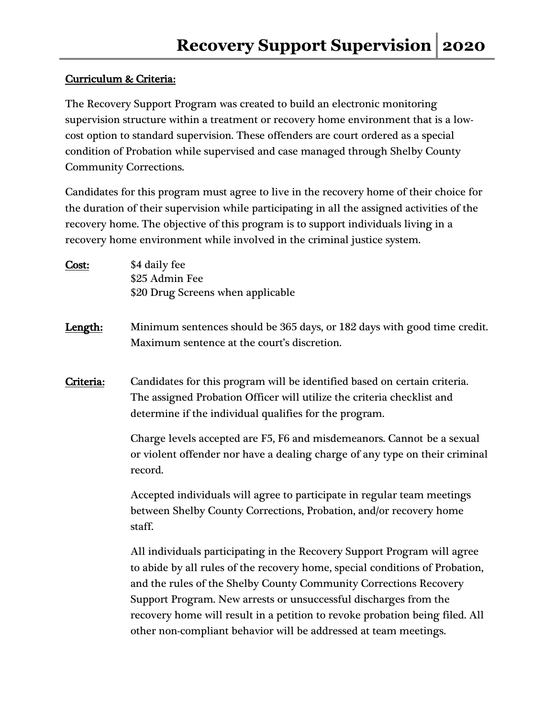## Curriculum & Criteria:

The Recovery Support Program was created to build an electronic monitoring supervision structure within a treatment or recovery home environment that is a lowcost option to standard supervision. These offenders are court ordered as a special condition of Probation while supervised and case managed through Shelby County Community Corrections.

Candidates for this program must agree to live in the recovery home of their choice for the duration of their supervision while participating in all the assigned activities of the recovery home. The objective of this program is to support individuals living in a recovery home environment while involved in the criminal justice system.

| Cost:     | \$4 daily fee<br>\$25 Admin Fee<br>\$20 Drug Screens when applicable                                                                                                                                                                                                                                                                                                                                                                                  |
|-----------|-------------------------------------------------------------------------------------------------------------------------------------------------------------------------------------------------------------------------------------------------------------------------------------------------------------------------------------------------------------------------------------------------------------------------------------------------------|
| Length:   | Minimum sentences should be 365 days, or 182 days with good time credit.<br>Maximum sentence at the court's discretion.                                                                                                                                                                                                                                                                                                                               |
| Criteria: | Candidates for this program will be identified based on certain criteria.<br>The assigned Probation Officer will utilize the criteria checklist and<br>determine if the individual qualifies for the program.<br>Charge levels accepted are F5, F6 and misdemeanors. Cannot be a sexual<br>or violent offender nor have a dealing charge of any type on their criminal<br>record.                                                                     |
|           | Accepted individuals will agree to participate in regular team meetings<br>between Shelby County Corrections, Probation, and/or recovery home<br>staff.                                                                                                                                                                                                                                                                                               |
|           | All individuals participating in the Recovery Support Program will agree<br>to abide by all rules of the recovery home, special conditions of Probation,<br>and the rules of the Shelby County Community Corrections Recovery<br>Support Program. New arrests or unsuccessful discharges from the<br>recovery home will result in a petition to revoke probation being filed. All<br>other non-compliant behavior will be addressed at team meetings. |